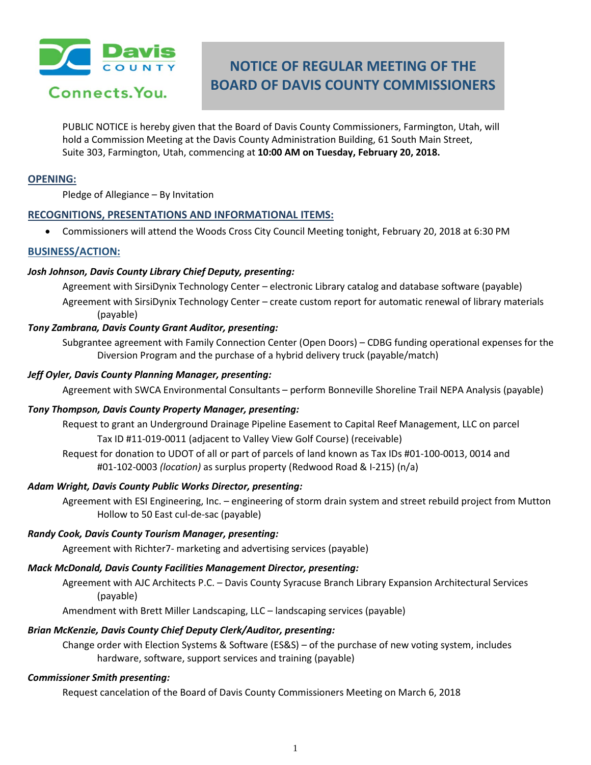

# Connects. You.

# **NOTICE OF REGULAR MEETING OF THE BOARD OF DAVIS COUNTY COMMISSIONERS**

PUBLIC NOTICE is hereby given that the Board of Davis County Commissioners, Farmington, Utah, will hold a Commission Meeting at the Davis County Administration Building, 61 South Main Street, Suite 303, Farmington, Utah, commencing at **10:00 AM on Tuesday, February 20, 2018.**

## **OPENING:**

Pledge of Allegiance – By Invitation

# **RECOGNITIONS, PRESENTATIONS AND INFORMATIONAL ITEMS:**

• Commissioners will attend the Woods Cross City Council Meeting tonight, February 20, 2018 at 6:30 PM

# **BUSINESS/ACTION:**

#### *Josh Johnson, Davis County Library Chief Deputy, presenting:*

Agreement with SirsiDynix Technology Center – electronic Library catalog and database software (payable) Agreement with SirsiDynix Technology Center – create custom report for automatic renewal of library materials (payable)

# *Tony Zambrana, Davis County Grant Auditor, presenting:*

Subgrantee agreement with Family Connection Center (Open Doors) – CDBG funding operational expenses for the Diversion Program and the purchase of a hybrid delivery truck (payable/match)

#### *Jeff Oyler, Davis County Planning Manager, presenting:*

Agreement with SWCA Environmental Consultants – perform Bonneville Shoreline Trail NEPA Analysis (payable)

#### *Tony Thompson, Davis County Property Manager, presenting:*

Request to grant an Underground Drainage Pipeline Easement to Capital Reef Management, LLC on parcel Tax ID #11-019-0011 (adjacent to Valley View Golf Course) (receivable)

Request for donation to UDOT of all or part of parcels of land known as Tax IDs #01-100-0013, 0014 and #01-102-0003 *(location)* as surplus property (Redwood Road & I-215) (n/a)

#### *Adam Wright, Davis County Public Works Director, presenting:*

Agreement with ESI Engineering, Inc. – engineering of storm drain system and street rebuild project from Mutton Hollow to 50 East cul-de-sac (payable)

*Randy Cook, Davis County Tourism Manager, presenting:*

Agreement with Richter7- marketing and advertising services (payable)

# *Mack McDonald, Davis County Facilities Management Director, presenting:*

Agreement with AJC Architects P.C. – Davis County Syracuse Branch Library Expansion Architectural Services (payable)

Amendment with Brett Miller Landscaping, LLC – landscaping services (payable)

# *Brian McKenzie, Davis County Chief Deputy Clerk/Auditor, presenting:*

Change order with Election Systems & Software (ES&S) – of the purchase of new voting system, includes hardware, software, support services and training (payable)

# *Commissioner Smith presenting:*

Request cancelation of the Board of Davis County Commissioners Meeting on March 6, 2018